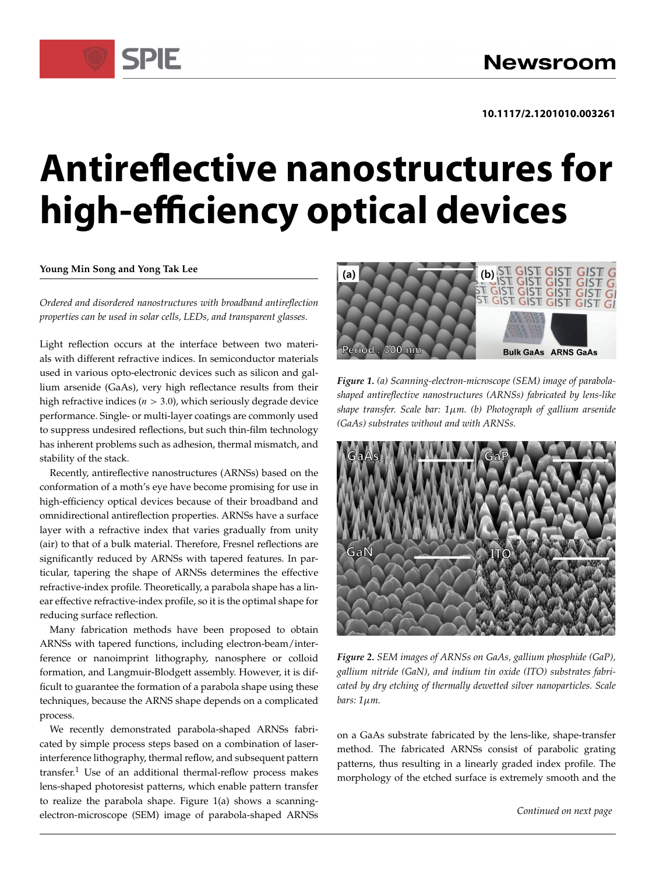# **Antireflective nanostructures for high-efficiency optical devices**

## **Young Min Song and Yong Tak Lee**

SPIF

*Ordered and disordered nanostructures with broadband antireflection properties can be used in solar cells, LEDs, and transparent glasses.*

Light reflection occurs at the interface between two materials with different refractive indices. In semiconductor materials used in various opto-electronic devices such as silicon and gallium arsenide (GaAs), very high reflectance results from their high refractive indices ( $n > 3.0$ ), which seriously degrade device performance. Single- or multi-layer coatings are commonly used to suppress undesired reflections, but such thin-film technology has inherent problems such as adhesion, thermal mismatch, and stability of the stack.

Recently, antireflective nanostructures (ARNSs) based on the conformation of a moth's eye have become promising for use in high-efficiency optical devices because of their broadband and omnidirectional antireflection properties. ARNSs have a surface layer with a refractive index that varies gradually from unity (air) to that of a bulk material. Therefore, Fresnel reflections are significantly reduced by ARNSs with tapered features. In particular, tapering the shape of ARNSs determines the effective refractive-index profile. Theoretically, a parabola shape has a linear effective refractive-index profile, so it is the optimal shape for reducing surface reflection.

Many fabrication methods have been proposed to obtain ARNSs with tapered functions, including electron-beam/interference or nanoimprint lithography, nanosphere or colloid formation, and Langmuir-Blodgett assembly. However, it is difficult to guarantee the formation of a parabola shape using these techniques, because the ARNS shape depends on a complicated process.

We recently demonstrated parabola-shaped ARNSs fabricated by simple process steps based on a combination of laserinterference lithography, thermal reflow, and subsequent pattern  $transfer<sup>1</sup>$  Use of an additional thermal-reflow process makes lens-shaped photoresist patterns, which enable pattern transfer to realize the parabola shape. Figure 1(a) shows a scanningelectron-microscope (SEM) image of parabola-shaped ARNSs



*Figure 1. (a) Scanning-electron-microscope (SEM) image of parabolashaped antireflective nanostructures (ARNSs) fabricated by lens-like shape transfer. Scale bar: 1m. (b) Photograph of gallium arsenide (GaAs) substrates without and with ARNSs.*



*Figure 2. SEM images of ARNSs on GaAs, gallium phosphide (GaP), gallium nitride (GaN), and indium tin oxide (ITO) substrates fabricated by dry etching of thermally dewetted silver nanoparticles. Scale bars: 1m.*

on a GaAs substrate fabricated by the lens-like, shape-transfer method. The fabricated ARNSs consist of parabolic grating patterns, thus resulting in a linearly graded index profile. The morphology of the etched surface is extremely smooth and the